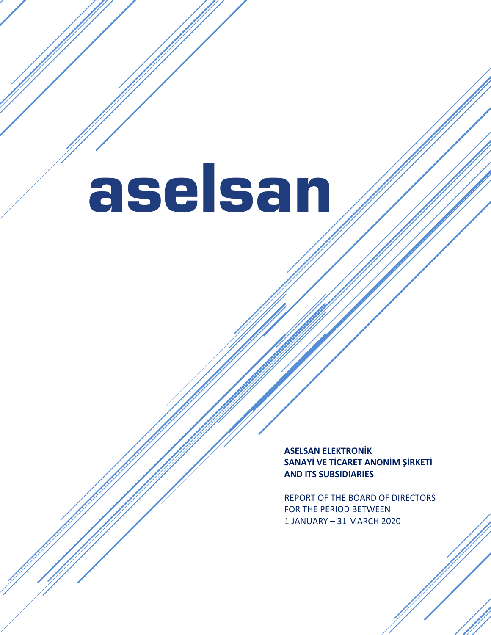**ASELSAN ELEKTRONİK SANAYİ VE TİCARET ANONİM ŞİRKETİ AND ITS SUBSIDIARIES**

REPORT OF THE BOARD OF DIRECTORS FOR THE PERIOD BETWEEN 1 JANUARY – 31 MARCH 2020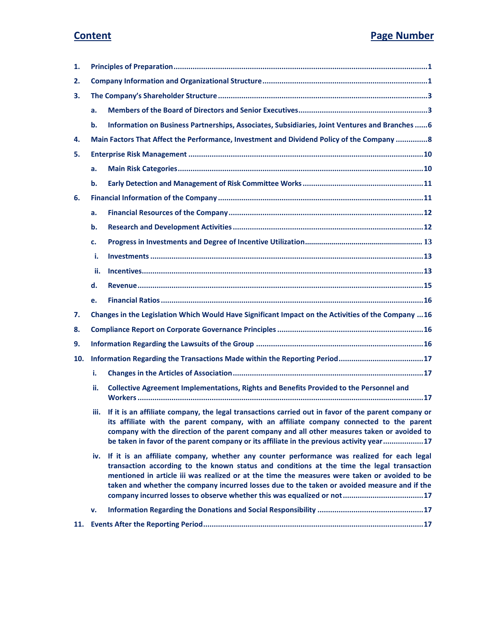| 1.  |      |                                                                                                                                                                                                                                                                                                                                                                                               |  |  |
|-----|------|-----------------------------------------------------------------------------------------------------------------------------------------------------------------------------------------------------------------------------------------------------------------------------------------------------------------------------------------------------------------------------------------------|--|--|
| 2.  |      |                                                                                                                                                                                                                                                                                                                                                                                               |  |  |
| З.  |      |                                                                                                                                                                                                                                                                                                                                                                                               |  |  |
|     | a.   |                                                                                                                                                                                                                                                                                                                                                                                               |  |  |
|     | b.   | Information on Business Partnerships, Associates, Subsidiaries, Joint Ventures and Branches  6                                                                                                                                                                                                                                                                                                |  |  |
| 4.  |      | Main Factors That Affect the Performance, Investment and Dividend Policy of the Company  8                                                                                                                                                                                                                                                                                                    |  |  |
| 5.  |      |                                                                                                                                                                                                                                                                                                                                                                                               |  |  |
|     | a.   |                                                                                                                                                                                                                                                                                                                                                                                               |  |  |
|     | b.   |                                                                                                                                                                                                                                                                                                                                                                                               |  |  |
| 6.  |      |                                                                                                                                                                                                                                                                                                                                                                                               |  |  |
|     | a.   |                                                                                                                                                                                                                                                                                                                                                                                               |  |  |
|     | b.   |                                                                                                                                                                                                                                                                                                                                                                                               |  |  |
|     | c.   |                                                                                                                                                                                                                                                                                                                                                                                               |  |  |
|     | i.   |                                                                                                                                                                                                                                                                                                                                                                                               |  |  |
|     | ii.  |                                                                                                                                                                                                                                                                                                                                                                                               |  |  |
|     | d.   |                                                                                                                                                                                                                                                                                                                                                                                               |  |  |
|     | e.   |                                                                                                                                                                                                                                                                                                                                                                                               |  |  |
| 7.  |      | Changes in the Legislation Which Would Have Significant Impact on the Activities of the Company  16                                                                                                                                                                                                                                                                                           |  |  |
| 8.  |      |                                                                                                                                                                                                                                                                                                                                                                                               |  |  |
| 9.  |      |                                                                                                                                                                                                                                                                                                                                                                                               |  |  |
| 10. |      | Information Regarding the Transactions Made within the Reporting Period17                                                                                                                                                                                                                                                                                                                     |  |  |
|     | i.   |                                                                                                                                                                                                                                                                                                                                                                                               |  |  |
|     | ii.  | Collective Agreement Implementations, Rights and Benefits Provided to the Personnel and                                                                                                                                                                                                                                                                                                       |  |  |
|     | iii. | If it is an affiliate company, the legal transactions carried out in favor of the parent company or<br>its affiliate with the parent company, with an affiliate company connected to the parent<br>company with the direction of the parent company and all other measures taken or avoided to<br>be taken in favor of the parent company or its affiliate in the previous activity year17    |  |  |
|     |      | iv. If it is an affiliate company, whether any counter performance was realized for each legal<br>transaction according to the known status and conditions at the time the legal transaction<br>mentioned in article iii was realized or at the time the measures were taken or avoided to be<br>taken and whether the company incurred losses due to the taken or avoided measure and if the |  |  |
|     | v.   |                                                                                                                                                                                                                                                                                                                                                                                               |  |  |
|     |      |                                                                                                                                                                                                                                                                                                                                                                                               |  |  |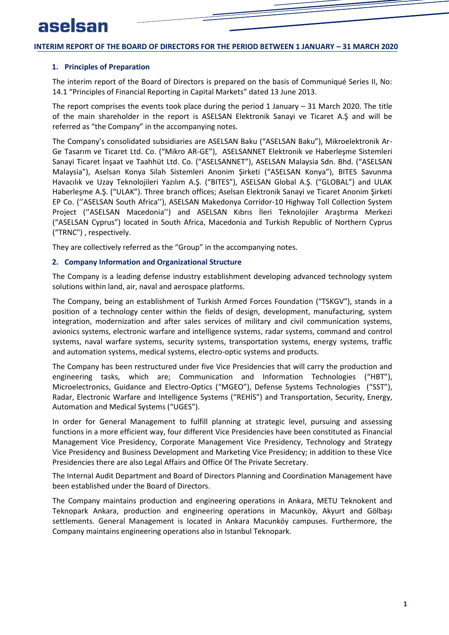#### <span id="page-2-0"></span>**1. Principles of Preparation**

The interim report of the Board of Directors is prepared on the basis of Communiqué Series II, No: 14.1 "Principles of Financial Reporting in Capital Markets" dated 13 June 2013.

The report comprises the events took place during the period 1 January  $-31$  March 2020. The title of the main shareholder in the report is ASELSAN Elektronik Sanayi ve Ticaret A.Ş and will be referred as "the Company" in the accompanying notes.

The Company's consolidated subsidiaries are ASELSAN Baku ("ASELSAN Baku"), Mikroelektronik Ar-Ge Tasarım ve Ticaret Ltd. Co. ("Mikro AR-GE"), ASELSANNET Elektronik ve Haberleşme Sistemleri Sanayi Ticaret İnşaat ve Taahhüt Ltd. Co. ("ASELSANNET"), ASELSAN Malaysia Sdn. Bhd. ("ASELSAN Malaysia"), Aselsan Konya Silah Sistemleri Anonim Şirketi ("ASELSAN Konya"), BITES Savunma Havacılık ve Uzay Teknolojileri Yazılım A.Ş. ("BITES"), ASELSAN Global A.Ş. ("GLOBAL") and ULAK Haberleşme A.Ş. ("ULAK"). Three branch offices; Aselsan Elektronik Sanayi ve Ticaret Anonim Şirketi EP Co. (''ASELSAN South Africa''), ASELSAN Makedonya Corridor-10 Highway Toll Collection System Project (''ASELSAN Macedonia'') and ASELSAN Kıbrıs İleri Teknolojiler Araştırma Merkezi ("ASELSAN Cyprus") located in South Africa, Macedonia and Turkish Republic of Northern Cyprus ("TRNC") , respectively.

<span id="page-2-1"></span>They are collectively referred as the "Group" in the accompanying notes.

#### **2. Company Information and Organizational Structure**

The Company is a leading defense industry establishment developing advanced technology system solutions within land, air, naval and aerospace platforms.

The Company, being an establishment of Turkish Armed Forces Foundation ("TSKGV"), stands in a position of a technology center within the fields of design, development, manufacturing, system integration, modernization and after sales services of military and civil communication systems, avionics systems, electronic warfare and intelligence systems, radar systems, command and control systems, naval warfare systems, security systems, transportation systems, energy systems, traffic and automation systems, medical systems, electro-optic systems and products.

The Company has been restructured under five Vice Presidencies that will carry the production and engineering tasks, which are; Communication and Information Technologies ("HBT"), Microelectronics, Guidance and Electro-Optics ("MGEO"), Defense Systems Technologies ("SST"), Radar, Electronic Warfare and Intelligence Systems ("REHİS") and Transportation, Security, Energy, Automation and Medical Systems ("UGES").

In order for General Management to fulfill planning at strategic level, pursuing and assessing functions in a more efficient way, four different Vice Presidencies have been constituted as Financial Management Vice Presidency, Corporate Management Vice Presidency, Technology and Strategy Vice Presidency and Business Development and Marketing Vice Presidency; in addition to these Vice Presidencies there are also Legal Affairs and Office Of The Private Secretary.

The Internal Audit Department and Board of Directors Planning and Coordination Management have been established under the Board of Directors.

The Company maintains production and engineering operations in Ankara, METU Teknokent and Teknopark Ankara, production and engineering operations in Macunköy, Akyurt and Gölbaşı settlements. General Management is located in Ankara Macunköy campuses. Furthermore, the Company maintains engineering operations also in Istanbul Teknopark.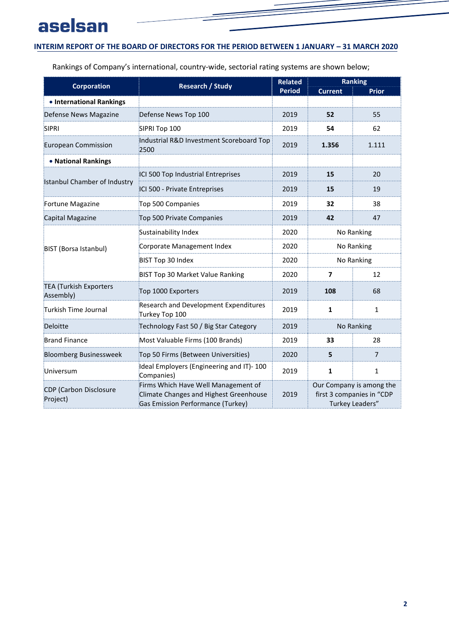## **INTERIM REPORT OF THE BOARD OF DIRECTORS FOR THE PERIOD BETWEEN 1 JANUARY – 31 MARCH 2020**

Rankings of Company's international, country-wide, sectorial rating systems are shown below;

|                                            | <b>Research / Study</b>                                                                                            | <b>Related</b> | <b>Ranking</b>           |                                                                          |
|--------------------------------------------|--------------------------------------------------------------------------------------------------------------------|----------------|--------------------------|--------------------------------------------------------------------------|
| <b>Corporation</b>                         |                                                                                                                    | <b>Period</b>  | <b>Current</b>           | <b>Prior</b>                                                             |
| • International Rankings                   |                                                                                                                    |                |                          |                                                                          |
| Defense News Magazine                      | Defense News Top 100                                                                                               | 2019           | 52                       | 55                                                                       |
| <b>SIPRI</b>                               | SIPRI Top 100                                                                                                      | 2019           | 54                       | 62                                                                       |
| European Commission                        | Industrial R&D Investment Scoreboard Top<br>2500                                                                   | 2019           | 1.356                    | 1.111                                                                    |
| • National Rankings                        |                                                                                                                    |                |                          |                                                                          |
|                                            | ICI 500 Top Industrial Entreprises                                                                                 | 2019           | 15                       | 20                                                                       |
| <b>Istanbul Chamber of Industry</b>        | ICI 500 - Private Entreprises                                                                                      | 2019           | 15                       | 19                                                                       |
| Fortune Magazine                           | Top 500 Companies                                                                                                  | 2019           | 32                       | 38                                                                       |
| Capital Magazine                           | Top 500 Private Companies                                                                                          | 2019           | 42                       | 47                                                                       |
|                                            | Sustainability Index                                                                                               | 2020           | No Ranking               |                                                                          |
| BIST (Borsa Istanbul)                      | Corporate Management Index                                                                                         | 2020           | No Ranking               |                                                                          |
|                                            | BIST Top 30 Index                                                                                                  | 2020           | No Ranking               |                                                                          |
|                                            | BIST Top 30 Market Value Ranking                                                                                   | 2020           | $\overline{\phantom{a}}$ | 12                                                                       |
| <b>TEA (Turkish Exporters</b><br>Assembly) | Top 1000 Exporters                                                                                                 | 2019           | 108                      | 68                                                                       |
| Turkish Time Journal                       | Research and Development Expenditures<br>Turkey Top 100                                                            | 2019           | $\mathbf{1}$             | $\mathbf{1}$                                                             |
| Deloitte                                   | Technology Fast 50 / Big Star Category                                                                             | 2019           | No Ranking               |                                                                          |
| <b>Brand Finance</b>                       | Most Valuable Firms (100 Brands)                                                                                   | 2019           | 33<br>28                 |                                                                          |
| <b>Bloomberg Businessweek</b>              | Top 50 Firms (Between Universities)                                                                                | 2020           | 5                        | $\overline{7}$                                                           |
| Universum                                  | Ideal Employers (Engineering and IT)-100<br>Companies)                                                             | 2019           | 1                        | $\mathbf{1}$                                                             |
| <b>CDP</b> (Carbon Disclosure<br>Project)  | Firms Which Have Well Management of<br>Climate Changes and Highest Greenhouse<br>Gas Emission Performance (Turkey) | 2019           |                          | Our Company is among the<br>first 3 companies in "CDP<br>Turkey Leaders" |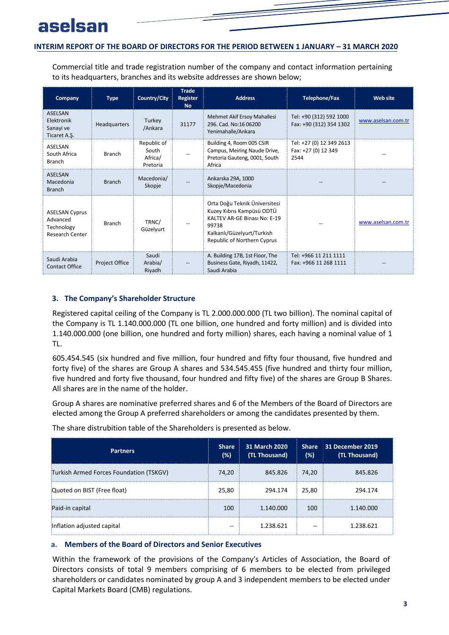Commercial title and trade registration number of the company and contact information pertaining to its headquarters, branches and its website addresses are shown below;

| Company                                                                   | <b>Type</b>           | Country/City                                | <b>Trade</b><br>Register<br>No. | <b>Address</b>                                                                                                                                                   | Telephone/Fax                                           | <b>Web site</b>    |
|---------------------------------------------------------------------------|-----------------------|---------------------------------------------|---------------------------------|------------------------------------------------------------------------------------------------------------------------------------------------------------------|---------------------------------------------------------|--------------------|
| <b>ASELSAN</b><br>Elektronik<br>Sanayi ve<br>Ticaret A.Ş.                 | Headquarters          | Turkey<br>/Ankara                           | 31177                           | Mehmet Akif Ersoy Mahallesi<br>296. Cad. No:16 06200<br>Yenimahalle/Ankara                                                                                       | Tel: +90 (312) 592 1000<br>Fax: +90 (312) 354 1302      | www.aselsan.com.tr |
| ASELSAN<br>South Africa<br><b>Branch</b>                                  | <b>Branch</b>         | Republic of<br>South<br>Africa/<br>Pretoria | $\overline{\phantom{m}}$        | Building 4, Room 005 CSIR<br>Campus, Meiring Naude Drive,<br>Pretoria Gauteng, 0001, South<br>Africa                                                             | Tel: +27 (0) 12 349 2613<br>Fax: +27 (0) 12 349<br>2544 |                    |
| <b>ASELSAN</b><br>Macedonia<br><b>Branch</b>                              | <b>Branch</b>         | Macedonia/<br>Skopje                        |                                 | Ankarska 29A, 1000<br>Skopje/Macedonia                                                                                                                           |                                                         |                    |
| <b>ASELSAN Cyprus</b><br>Advanced<br>Technology<br><b>Research Center</b> | <b>Branch</b>         | TRNC/<br>Güzelyurt                          |                                 | Orta Doğu Teknik Üniversitesi<br>Kuzey Kıbrıs Kampüsü ODTÜ<br>KALTEV AR-GE Binası No: E-19<br>99738<br>Kalkanlı/Güzelyurt/Turkish<br>Republic of Northern Cyprus |                                                         | www.aselsan.com.tr |
| Saudi Arabia<br>Contact Office                                            | <b>Project Office</b> | Saudi<br>Arabia/<br>Riyadh                  |                                 | A. Building 17B, 1st Floor, The<br>Business Gate, Riyadh, 11422,<br>Saudi Arabia                                                                                 | Tel: +966 11 211 1111<br>Fax: +966 11 268 1111          |                    |

#### <span id="page-4-0"></span>**3. The Company's Shareholder Structure**

Registered capital ceiling of the Company is TL 2.000.000.000 (TL two billion). The nominal capital of the Company is TL 1.140.000.000 (TL one billion, one hundred and forty million) and is divided into 1.140.000.000 (one billion, one hundred and forty million) shares, each having a nominal value of 1 TL.

605.454.545 (six hundred and five million, four hundred and fifty four thousand, five hundred and forty five) of the shares are Group A shares and 534.545.455 (five hundred and thirty four million, five hundred and forty five thousand, four hundred and fifty five) of the shares are Group B Shares. All shares are in the name of the holder.

Group A shares are nominative preferred shares and 6 of the Members of the Board of Directors are elected among the Group A preferred shareholders or among the candidates presented by them.

| <b>Partners</b>                         | <b>Share</b><br>(%) | 31 March 2020<br>(TL Thousand) | <b>Share</b><br>(%) | 31 December 2019<br>(TL Thousand) |
|-----------------------------------------|---------------------|--------------------------------|---------------------|-----------------------------------|
| Turkish Armed Forces Foundation (TSKGV) | 74,20               | 845.826                        | 74,20               | 845.826                           |
| Quoted on BIST (Free float)             | 25,80               | 294.174                        | 25,80               | 294.174                           |
| Paid-in capital                         | 100                 | 1.140.000                      | 100                 | 1.140.000                         |
| Inflation adjusted capital              | --                  | 1.238.621                      | --                  | 1.238.621                         |

The share distrubition table of the Shareholders is presented as below.

#### <span id="page-4-1"></span>**a. Members of the Board of Directors and Senior Executives**

Within the framework of the provisions of the Company's Articles of Association, the Board of Directors consists of total 9 members comprising of 6 members to be elected from privileged shareholders or candidates nominated by group A and 3 independent members to be elected under Capital Markets Board (CMB) regulations.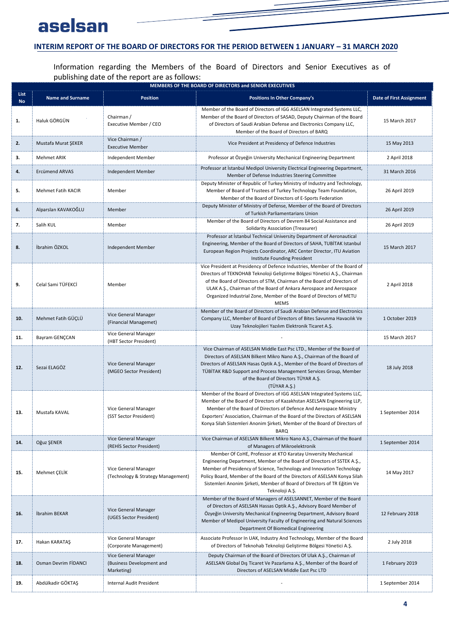## **INTERIM REPORT OF THE BOARD OF DIRECTORS FOR THE PERIOD BETWEEN 1 JANUARY – 31 MARCH 2020**

Information regarding the Members of the Board of Directors and Senior Executives as of publishing date of the report are as follows:

|                   | MEMBERS OF THE BOARD OF DIRECTORS and SENIOR EXECUTIVES |                                                                 |                                                                                                                                                                                                                                                                                                                                                                                                 |                                 |  |  |
|-------------------|---------------------------------------------------------|-----------------------------------------------------------------|-------------------------------------------------------------------------------------------------------------------------------------------------------------------------------------------------------------------------------------------------------------------------------------------------------------------------------------------------------------------------------------------------|---------------------------------|--|--|
| List<br><b>No</b> | <b>Name and Surname</b>                                 | <b>Position</b>                                                 | <b>Positions In Other Company's</b>                                                                                                                                                                                                                                                                                                                                                             | <b>Date of First Assignment</b> |  |  |
| 1.                | Haluk GÖRGÜN                                            | Chairman /<br>Executive Member / CEO                            | Member of the Board of Directors of IGG ASELSAN Integrated Systems LLC,<br>Member of the Board of Directors of SASAD, Deputy Chairman of the Board<br>of Directors of Saudi Arabian Defense and Electronics Company LLC,<br>Member of the Board of Directors of BARQ                                                                                                                            | 15 March 2017                   |  |  |
| 2.                | Mustafa Murat ŞEKER                                     | Vice Chairman /<br><b>Executive Member</b>                      | Vice President at Presidency of Defence Industries                                                                                                                                                                                                                                                                                                                                              | 15 May 2013                     |  |  |
| 3.                | <b>Mehmet ARIK</b>                                      | Independent Member                                              | Professor at Özyeğin University Mechanical Engineering Department                                                                                                                                                                                                                                                                                                                               | 2 April 2018                    |  |  |
| 4.                | Ercümend ARVAS                                          | Independent Member                                              | Professor at Istanbul Medipol University Electrical Engineering Department,<br>Member of Defense Industries Steering Committee                                                                                                                                                                                                                                                                  | 31 March 2016                   |  |  |
| 5.                | Mehmet Fatih KACIR                                      | Member                                                          | Deputy Minister of Republic of Turkey Ministry of Industry and Technology,<br>Member of Board of Trustees of Turkey Technology Team Foundation,<br>Member of the Board of Directors of E-Sports Federation                                                                                                                                                                                      | 26 April 2019                   |  |  |
| 6.                | Alparslan KAVAKOĞLU                                     | Member                                                          | Deputy Minister of Ministry of Defense, Member of the Board of Directors<br>of Turkish Parliamentarians Union                                                                                                                                                                                                                                                                                   | 26 April 2019                   |  |  |
| 7.                | Salih KUL                                               | Member                                                          | Member of the Board of Directors of Devrem 84 Social Assistance and<br>Solidarity Association (Treasurer)                                                                                                                                                                                                                                                                                       | 26 April 2019                   |  |  |
| 8.                | İbrahim ÖZKOL                                           | <b>Independent Member</b>                                       | Professor at Istanbul Technical University Department of Aeronautical<br>Engineering, Member of the Board of Directors of SAHA, TUBİTAK Istanbul<br>European Region Projects Coordinator, ARC Center Director, ITU Aviation<br>Institute Founding President                                                                                                                                     | 15 March 2017                   |  |  |
| 9.                | Celal Sami TÜFEKCİ                                      | Member                                                          | Vice President at Presidency of Defence Industries, Member of the Board of<br>Directors of TEKNOHAB Teknoloji Geliştirme Bölgesi Yönetici A.Ş., Chairman<br>of the Board of Directors of STM, Chairman of the Board of Directors of<br>ULAK A.Ş., Chairman of the Board of Ankara Aerospace and Aerospace<br>Organized Industrial Zone, Member of the Board of Directors of METU<br><b>MEMS</b> | 2 April 2018                    |  |  |
| 10.               | Mehmet Fatih GÜÇLÜ                                      | Vice General Manager<br>(Financial Managemet)                   | Member of the Board of Directors of Saudi Arabian Defense and Electronics<br>Company LLC, Member of Board of Directors of Bites Savunma Havacılık Ve<br>Uzay Teknolojileri Yazılım Elektronik Ticaret A.Ş.                                                                                                                                                                                      | 1 October 2019                  |  |  |
| 11.               | Bayram GENÇCAN                                          | Vice General Manager<br>(HBT Sector President)                  |                                                                                                                                                                                                                                                                                                                                                                                                 | 15 March 2017                   |  |  |
| 12.               | Sezai ELAGÖZ                                            | Vice General Manager<br>(MGEO Sector President)                 | Vice Chairman of ASELSAN Middle East Psc LTD., Member of the Board of<br>Directors of ASELSAN Bilkent Mikro Nano A.Ş., Chairman of the Board of<br>Directors of ASELSAN Hasas Optik A.Ş., Member of the Board of Directors of<br>TÜBİTAK R&D Support and Process Management Services Group, Member<br>of the Board of Directors TÜYAR A.Ş.<br>(TÜYAR A.Ş.)                                      | 18 July 2018                    |  |  |
| 13.               | Mustafa KAVAL                                           | Vice General Manager<br>(SST Sector President)                  | Member of the Board of Directors of IGG ASELSAN Integrated Systems LLC,<br>Member of the Board of Directors of Kazakhstan ASELSAN Engineering LLP,<br>Member of the Board of Directors of Defence And Aerospace Ministry<br>Exporters' Association, Chairman of the Board of the Directors of ASELSAN<br>Konya Silah Sistemleri Anonim Şirketi, Member of the Board of Directors of<br>BARQ     | 1 September 2014                |  |  |
| 14.               | Oğuz ŞENER                                              | Vice General Manager<br>(REHIS Sector President)                | Vice Chairman of ASELSAN Bilkent Mikro Nano A.S., Chairman of the Board<br>of Managers of Mikroelektronik                                                                                                                                                                                                                                                                                       | 1 September 2014                |  |  |
| 15.               | Mehmet CELIK                                            | Vice General Manager<br>(Technology & Strategy Management)      | Member Of CoHE, Professor at KTO Karatay University Mechanical<br>Engineering Department, Member of the Board of Directors of SSTEK A.Ş.,<br>Member of Presidency of Science, Technology and Innovation Technology<br>Policy Board, Member of the Board of the Directors of ASELSAN Konya Silah<br>Sistemleri Anonim Şirketi, Member of Board of Directors of TR Eğitim Ve<br>Teknoloji A.Ş.    | 14 May 2017                     |  |  |
| 16.               | İbrahim BEKAR                                           | Vice General Manager<br>(UGES Sector President)                 | Member of the Board of Managers of ASELSANNET, Member of the Board<br>of Directors of ASELSAN Hassas Optik A.Ş., Advisory Board Member of<br>Özyeğin University Mechanical Engineering Department, Advisory Board<br>Member of Medipol University Faculty of Engineering and Natural Sciences<br>Department Of Biomedical Engineering                                                           | 12 February 2018                |  |  |
| 17.               | Hakan KARATAŞ                                           | Vice General Manager<br>(Corporate Management)                  | Associate Professor In UAK, Industry And Technology, Member of the Board<br>of Directors of Teknohab Teknoloji Geliştirme Bölgesi Yönetici A.Ş.                                                                                                                                                                                                                                                 | 2 July 2018                     |  |  |
| 18.               | Osman Devrim FIDANCI                                    | Vice General Manager<br>(Business Development and<br>Marketing) | Deputy Chairman of the Board of Directors Of Ulak A.Ş., Chairman of<br>ASELSAN Global Dış Ticaret Ve Pazarlama A.Ş., Member of the Board of<br>Directors of ASELSAN Middle East Psc LTD                                                                                                                                                                                                         | 1 February 2019                 |  |  |
| 19.               | Abdülkadir GÖKTAŞ                                       | Internal Audit President                                        |                                                                                                                                                                                                                                                                                                                                                                                                 | 1 September 2014                |  |  |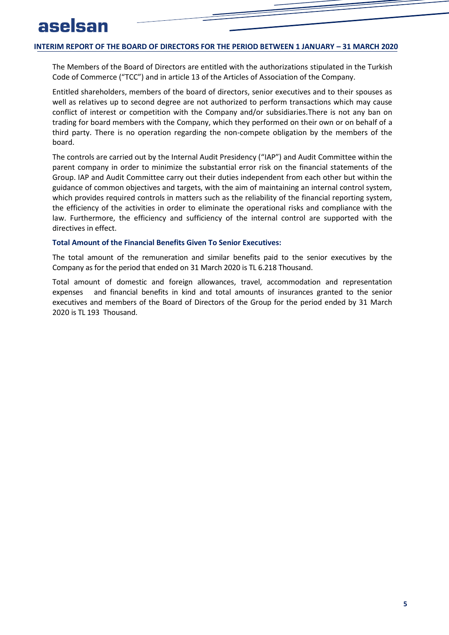The Members of the Board of Directors are entitled with the authorizations stipulated in the Turkish Code of Commerce ("TCC") and in article 13 of the Articles of Association of the Company.

Entitled shareholders, members of the board of directors, senior executives and to their spouses as well as relatives up to second degree are not authorized to perform transactions which may cause conflict of interest or competition with the Company and/or subsidiaries.There is not any ban on trading for board members with the Company, which they performed on their own or on behalf of a third party. There is no operation regarding the non-compete obligation by the members of the board.

The controls are carried out by the Internal Audit Presidency ("IAP") and Audit Committee within the parent company in order to minimize the substantial error risk on the financial statements of the Group. IAP and Audit Committee carry out their duties independent from each other but within the guidance of common objectives and targets, with the aim of maintaining an internal control system, which provides required controls in matters such as the reliability of the financial reporting system, the efficiency of the activities in order to eliminate the operational risks and compliance with the law. Furthermore, the efficiency and sufficiency of the internal control are supported with the directives in effect.

#### **Total Amount of the Financial Benefits Given To Senior Executives:**

The total amount of the remuneration and similar benefits paid to the senior executives by the Company as for the period that ended on 31 March 2020 is TL 6.218 Thousand.

Total amount of domestic and foreign allowances, travel, accommodation and representation expenses and financial benefits in kind and total amounts of insurances granted to the senior executives and members of the Board of Directors of the Group for the period ended by 31 March 2020 is TL 193 Thousand.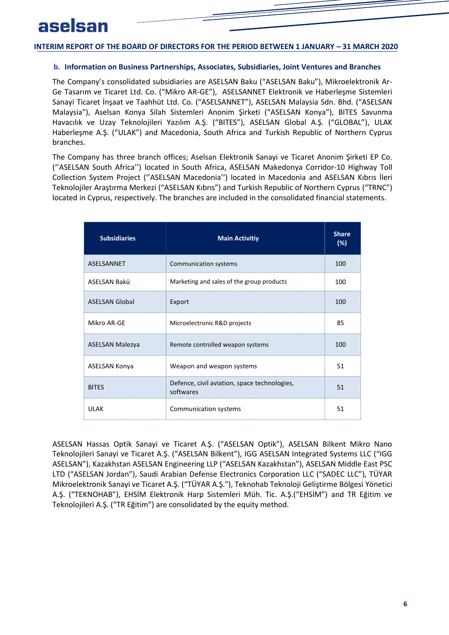#### <span id="page-7-0"></span>**b. Information on Business Partnerships, Associates, Subsidiaries, Joint Ventures and Branches**

The Company's consolidated subsidiaries are ASELSAN Baku ("ASELSAN Baku"), Mikroelektronik Ar-Ge Tasarım ve Ticaret Ltd. Co. ("Mikro AR-GE"), ASELSANNET Elektronik ve Haberleşme Sistemleri Sanayi Ticaret İnşaat ve Taahhüt Ltd. Co. ("ASELSANNET"), ASELSAN Malaysia Sdn. Bhd. ("ASELSAN Malaysia"), Aselsan Konya Silah Sistemleri Anonim Şirketi ("ASELSAN Konya"), BITES Savunma Havacılık ve Uzay Teknolojileri Yazılım A.Ş. ("BITES"), ASELSAN Global A.Ş. ("GLOBAL"), ULAK Haberleşme A.Ş. ("ULAK") and Macedonia, South Africa and Turkish Republic of Northern Cyprus branches.

The Company has three branch offices; Aselsan Elektronik Sanayi ve Ticaret Anonim Şirketi EP Co. (''ASELSAN South Africa'') located in South Africa, ASELSAN Makedonya Corridor-10 Highway Toll Collection System Project (''ASELSAN Macedonia'') located in Macedonia and ASELSAN Kıbrıs İleri Teknolojiler Araştırma Merkezi ("ASELSAN Kıbrıs") and Turkish Republic of Northern Cyprus ("TRNC") located in Cyprus, respectively. The branches are included in the consolidated financial statements.

| <b>Subsidiaries</b>    | <b>Main Activitiy</b>                                     | <b>Share</b><br>(%) |
|------------------------|-----------------------------------------------------------|---------------------|
| ASELSANNET             | Communication systems                                     | 100                 |
| ASELSAN Bakü           | Marketing and sales of the group products                 | 100                 |
| <b>ASELSAN Global</b>  | Export                                                    | 100                 |
| Mikro AR-GF            | Microelectronic R&D projects                              | 85                  |
| <b>ASELSAN Malezya</b> | Remote controlled weapon systems                          | 100                 |
| <b>ASELSAN Konya</b>   | Weapon and weapon systems                                 | 51                  |
| <b>BITES</b>           | Defence, civil aviation, space technologies,<br>softwares | 51                  |
| UI AK                  | Communication systems                                     | 51                  |

ASELSAN Hassas Optik Sanayi ve Ticaret A.Ş. ("ASELSAN Optik"), ASELSAN Bilkent Mikro Nano Teknolojileri Sanayi ve Ticaret A.Ş. ("ASELSAN Bilkent"), IGG ASELSAN Integrated Systems LLC ("IGG ASELSAN"), Kazakhstan ASELSAN Engineering LLP ("ASELSAN Kazakhstan"), ASELSAN Middle East PSC LTD ("ASELSAN Jordan"), Saudi Arabian Defense Electronics Corporation LLC ("SADEC LLC"), TÜYAR Mikroelektronik Sanayi ve Ticaret A.Ş. ("TÜYAR A.Ş."), Teknohab Teknoloji Geliştirme Bölgesi Yönetici A.Ş. ("TEKNOHAB"), EHSİM Elektronik Harp Sistemleri Müh. Tic. A.Ş.("EHSİM") and TR Eğitim ve Teknolojileri A.Ş. ("TR Eğitim") are consolidated by the equity method.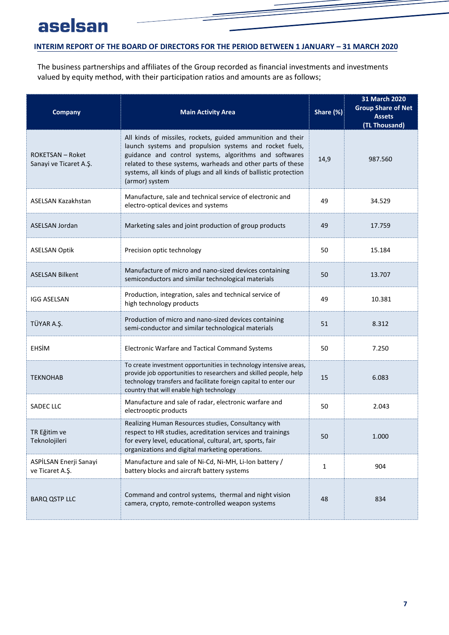## **INTERIM REPORT OF THE BOARD OF DIRECTORS FOR THE PERIOD BETWEEN 1 JANUARY – 31 MARCH 2020**

The business partnerships and affiliates of the Group recorded as financial investments and investments valued by equity method, with their participation ratios and amounts are as follows;

| <b>Company</b>                                    | <b>Main Activity Area</b>                                                                                                                                                                                                                                                                                                              | Share (%)    | 31 March 2020<br><b>Group Share of Net</b><br><b>Assets</b><br>(TL Thousand) |
|---------------------------------------------------|----------------------------------------------------------------------------------------------------------------------------------------------------------------------------------------------------------------------------------------------------------------------------------------------------------------------------------------|--------------|------------------------------------------------------------------------------|
| <b>ROKETSAN - Roket</b><br>Sanayi ve Ticaret A.Ş. | All kinds of missiles, rockets, guided ammunition and their<br>launch systems and propulsion systems and rocket fuels,<br>guidance and control systems, algorithms and softwares<br>related to these systems, warheads and other parts of these<br>systems, all kinds of plugs and all kinds of ballistic protection<br>(armor) system | 14,9         | 987.560                                                                      |
| ASELSAN Kazakhstan                                | Manufacture, sale and technical service of electronic and<br>electro-optical devices and systems                                                                                                                                                                                                                                       | 49           | 34.529                                                                       |
| <b>ASELSAN Jordan</b>                             | Marketing sales and joint production of group products                                                                                                                                                                                                                                                                                 | 49           | 17.759                                                                       |
| <b>ASELSAN Optik</b>                              | Precision optic technology                                                                                                                                                                                                                                                                                                             | 50           | 15.184                                                                       |
| <b>ASELSAN Bilkent</b>                            | Manufacture of micro and nano-sized devices containing<br>semiconductors and similar technological materials                                                                                                                                                                                                                           | 50           | 13.707                                                                       |
| <b>IGG ASELSAN</b>                                | Production, integration, sales and technical service of<br>high technology products                                                                                                                                                                                                                                                    | 49           | 10.381                                                                       |
| TÜYAR A.Ş.                                        | Production of micro and nano-sized devices containing<br>semi-conductor and similar technological materials                                                                                                                                                                                                                            | 51           | 8.312                                                                        |
| EHSİM                                             | Electronic Warfare and Tactical Command Systems                                                                                                                                                                                                                                                                                        | 50           | 7.250                                                                        |
| <b>TEKNOHAB</b>                                   | To create investment opportunities in technology intensive areas,<br>provide job opportunities to researchers and skilled people, help<br>technology transfers and facilitate foreign capital to enter our<br>country that will enable high technology                                                                                 | 15           | 6.083                                                                        |
| <b>SADEC LLC</b>                                  | Manufacture and sale of radar, electronic warfare and<br>electrooptic products                                                                                                                                                                                                                                                         | 50           | 2.043                                                                        |
| TR Eğitim ve<br>Teknolojileri                     | Realizing Human Resources studies, Consultancy with<br>respect to HR studies, acreditation services and trainings<br>for every level, educational, cultural, art, sports, fair<br>organizations and digital marketing operations.                                                                                                      | 50           | 1.000                                                                        |
| ASPİLSAN Enerji Sanayi<br>ve Ticaret A.Ş.         | Manufacture and sale of Ni-Cd, Ni-MH, Li-Ion battery /<br>battery blocks and aircraft battery systems                                                                                                                                                                                                                                  | $\mathbf{1}$ | 904                                                                          |
| <b>BARQ QSTP LLC</b>                              | Command and control systems, thermal and night vision<br>camera, crypto, remote-controlled weapon systems                                                                                                                                                                                                                              | 48           | 834                                                                          |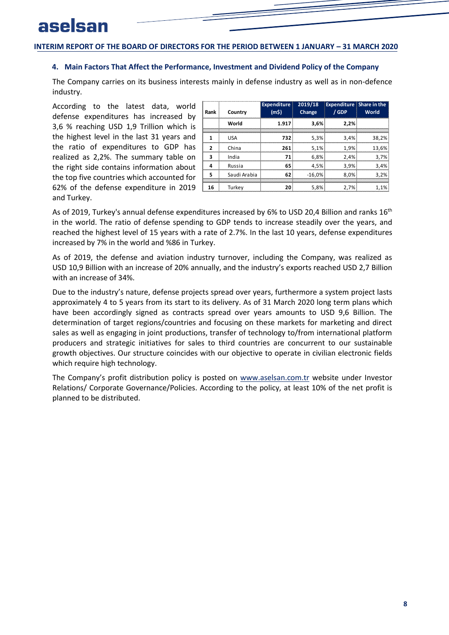#### <span id="page-9-0"></span>**4. Main Factors That Affect the Performance, Investment and Dividend Policy of the Company**

The Company carries on its business interests mainly in defense industry as well as in non-defence industry.

According to the latest data, world defense expenditures has increased by 3,6 % reaching USD 1,9 Trillion which is the highest level in the last 31 years and the ratio of expenditures to GDP has realized as 2,2%. The summary table on the right side contains information about the top five countries which accounted for 62% of the defense expenditure in 2019 and Turkey.

| Rank | Country      | <b>Expenditure</b><br>(m5) | 2019/18<br>Change | <b>Expenditure Share in the</b><br>/ GDP | World |
|------|--------------|----------------------------|-------------------|------------------------------------------|-------|
|      | World        | 1.917                      | 3.6%              | 2.2%                                     |       |
|      | <b>USA</b>   | 732                        | 5.3%              | 3.4%                                     | 38.2% |
| 2    | China        | 261                        | 5,1%              | 1.9%                                     | 13.6% |
| 3    | India        | 71                         | 6.8%              | 2.4%                                     | 3.7%  |
| Δ    | Russia       | 65                         | 4,5%              | 3.9%                                     | 3.4%  |
| 5    | Saudi Arabia | 62                         | $-16.0%$          | 8.0%                                     | 3.2%  |
| 16   | Turkev       | 20                         | 5.8%              | 2.7%                                     | 1.1%  |

As of 2019, Turkey's annual defense expenditures increased by 6% to USD 20,4 Billion and ranks  $16^{\text{th}}$ in the world. The ratio of defense spending to GDP tends to increase steadily over the years, and reached the highest level of 15 years with a rate of 2.7%. In the last 10 years, defense expenditures increased by 7% in the world and %86 in Turkey.

As of 2019, the defense and aviation industry turnover, including the Company, was realized as USD 10,9 Billion with an increase of 20% annually, and the industry's exports reached USD 2,7 Billion with an increase of 34%.

Due to the industry's nature, defense projects spread over years, furthermore a system project lasts approximately 4 to 5 years from its start to its delivery. As of 31 March 2020 long term plans which have been accordingly signed as contracts spread over years amounts to USD 9,6 Billion. The determination of target regions/countries and focusing on these markets for marketing and direct sales as well as engaging in joint productions, transfer of technology to/from international platform producers and strategic initiatives for sales to third countries are concurrent to our sustainable growth objectives. Our structure coincides with our objective to operate in civilian electronic fields which require high technology.

The Company's profit distribution policy is posted on [www.aselsan.com.tr](http://www.aselsan.com.tr/) website under Investor Relations/ Corporate Governance/Policies. According to the policy, at least 10% of the net profit is planned to be distributed.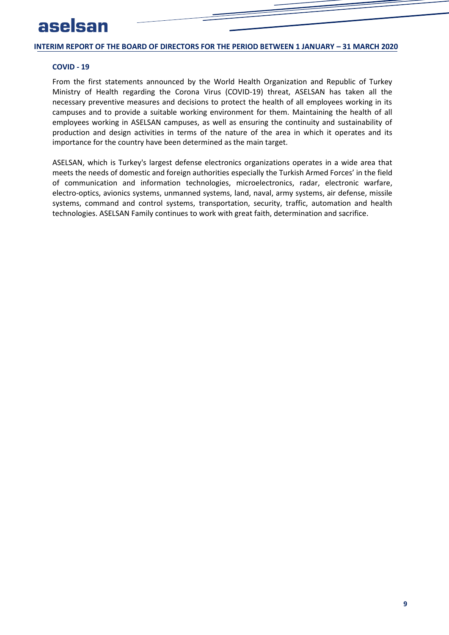#### **COVID - 19**

From the first statements announced by the World Health Organization and Republic of Turkey Ministry of Health regarding the Corona Virus (COVID-19) threat, ASELSAN has taken all the necessary preventive measures and decisions to protect the health of all employees working in its campuses and to provide a suitable working environment for them. Maintaining the health of all employees working in ASELSAN campuses, as well as ensuring the continuity and sustainability of production and design activities in terms of the nature of the area in which it operates and its importance for the country have been determined as the main target.

ASELSAN, which is Turkey's largest defense electronics organizations operates in a wide area that meets the needs of domestic and foreign authorities especially the Turkish Armed Forces' in the field of communication and information technologies, microelectronics, radar, electronic warfare, electro-optics, avionics systems, unmanned systems, land, naval, army systems, air defense, missile systems, command and control systems, transportation, security, traffic, automation and health technologies. ASELSAN Family continues to work with great faith, determination and sacrifice.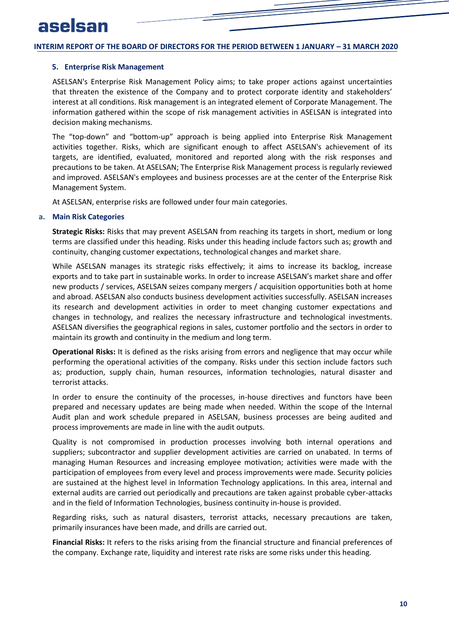#### <span id="page-11-0"></span>**5. Enterprise Risk Management**

ASELSAN's Enterprise Risk Management Policy aims; to take proper actions against uncertainties that threaten the existence of the Company and to protect corporate identity and stakeholders' interest at all conditions. Risk management is an integrated element of Corporate Management. The information gathered within the scope of risk management activities in ASELSAN is integrated into decision making mechanisms.

The "top-down" and "bottom-up" approach is being applied into Enterprise Risk Management activities together. Risks, which are significant enough to affect ASELSAN's achievement of its targets, are identified, evaluated, monitored and reported along with the risk responses and precautions to be taken. At ASELSAN; The Enterprise Risk Management process is regularly reviewed and improved. ASELSAN's employees and business processes are at the center of the Enterprise Risk Management System.

<span id="page-11-1"></span>At ASELSAN, enterprise risks are followed under four main categories.

#### **a. Main Risk Categories**

**Strategic Risks:** Risks that may prevent ASELSAN from reaching its targets in short, medium or long terms are classified under this heading. Risks under this heading include factors such as; growth and continuity, changing customer expectations, technological changes and market share.

While ASELSAN manages its strategic risks effectively; it aims to increase its backlog, increase exports and to take part in sustainable works. In order to increase ASELSAN's market share and offer new products / services, ASELSAN seizes company mergers / acquisition opportunities both at home and abroad. ASELSAN also conducts business development activities successfully. ASELSAN increases its research and development activities in order to meet changing customer expectations and changes in technology, and realizes the necessary infrastructure and technological investments. ASELSAN diversifies the geographical regions in sales, customer portfolio and the sectors in order to maintain its growth and continuity in the medium and long term.

**Operational Risks:** It is defined as the risks arising from errors and negligence that may occur while performing the operational activities of the company. Risks under this section include factors such as; production, supply chain, human resources, information technologies, natural disaster and terrorist attacks.

In order to ensure the continuity of the processes, in-house directives and functors have been prepared and necessary updates are being made when needed. Within the scope of the Internal Audit plan and work schedule prepared in ASELSAN, business processes are being audited and process improvements are made in line with the audit outputs.

Quality is not compromised in production processes involving both internal operations and suppliers; subcontractor and supplier development activities are carried on unabated. In terms of managing Human Resources and increasing employee motivation; activities were made with the participation of employees from every level and process improvements were made. Security policies are sustained at the highest level in Information Technology applications. In this area, internal and external audits are carried out periodically and precautions are taken against probable cyber-attacks and in the field of Information Technologies, business continuity in-house is provided.

Regarding risks, such as natural disasters, terrorist attacks, necessary precautions are taken, primarily insurances have been made, and drills are carried out.

**Financial Risks:** It refers to the risks arising from the financial structure and financial preferences of the company. Exchange rate, liquidity and interest rate risks are some risks under this heading.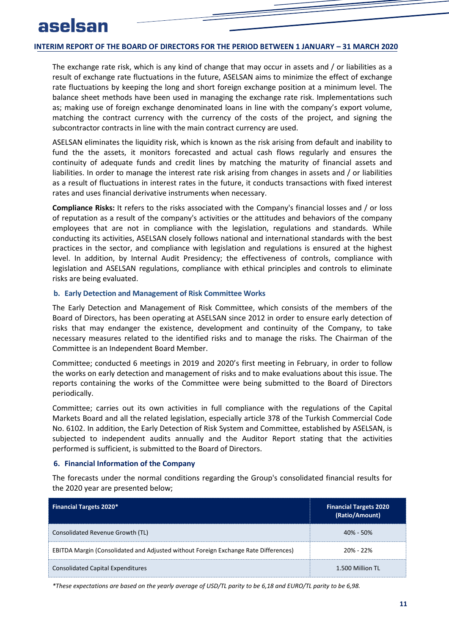The exchange rate risk, which is any kind of change that may occur in assets and / or liabilities as a result of exchange rate fluctuations in the future, ASELSAN aims to minimize the effect of exchange rate fluctuations by keeping the long and short foreign exchange position at a minimum level. The balance sheet methods have been used in managing the exchange rate risk. Implementations such as; making use of foreign exchange denominated loans in line with the company's export volume, matching the contract currency with the currency of the costs of the project, and signing the subcontractor contracts in line with the main contract currency are used.

ASELSAN eliminates the liquidity risk, which is known as the risk arising from default and inability to fund the the assets, it monitors forecasted and actual cash flows regularly and ensures the continuity of adequate funds and credit lines by matching the maturity of financial assets and liabilities. In order to manage the interest rate risk arising from changes in assets and / or liabilities as a result of fluctuations in interest rates in the future, it conducts transactions with fixed interest rates and uses financial derivative instruments when necessary.

**Compliance Risks:** It refers to the risks associated with the Company's financial losses and / or loss of reputation as a result of the company's activities or the attitudes and behaviors of the company employees that are not in compliance with the legislation, regulations and standards. While conducting its activities, ASELSAN closely follows national and international standards with the best practices in the sector, and compliance with legislation and regulations is ensured at the highest level. In addition, by Internal Audit Presidency; the effectiveness of controls, compliance with legislation and ASELSAN regulations, compliance with ethical principles and controls to eliminate risks are being evaluated.

#### <span id="page-12-0"></span>**b. Early Detection and Management of Risk Committee Works**

The Early Detection and Management of Risk Committee, which consists of the members of the Board of Directors, has been operating at ASELSAN since 2012 in order to ensure early detection of risks that may endanger the existence, development and continuity of the Company, to take necessary measures related to the identified risks and to manage the risks. The Chairman of the Committee is an Independent Board Member.

Committee; conducted 6 meetings in 2019 and 2020's first meeting in February, in order to follow the works on early detection and management of risks and to make evaluations about this issue. The reports containing the works of the Committee were being submitted to the Board of Directors periodically.

<span id="page-12-1"></span>Committee; carries out its own activities in full compliance with the regulations of the Capital Markets Board and all the related legislation, especially article 378 of the Turkish Commercial Code No. 6102. In addition, the Early Detection of Risk System and Committee, established by ASELSAN, is subjected to independent audits annually and the Auditor Report stating that the activities performed is sufficient, is submitted to the Board of Directors.

#### **6. Financial Information of the Company**

The forecasts under the normal conditions regarding the Group's consolidated financial results for the 2020 year are presented below;

| <b>Financial Targets 2020*</b>                                                      | <b>Financial Targets 2020</b><br>(Ratio/Amount) |
|-------------------------------------------------------------------------------------|-------------------------------------------------|
| Consolidated Revenue Growth (TL)                                                    | $40\% - 50\%$                                   |
| EBITDA Margin (Consolidated and Adjusted without Foreign Exchange Rate Differences) | $20% - 22%$                                     |
| <b>Consolidated Capital Expenditures</b>                                            | 1.500 Million TL                                |

*\*These expectations are based on the yearly average of USD/TL parity to be 6,18 and EURO/TL parity to be 6,98.*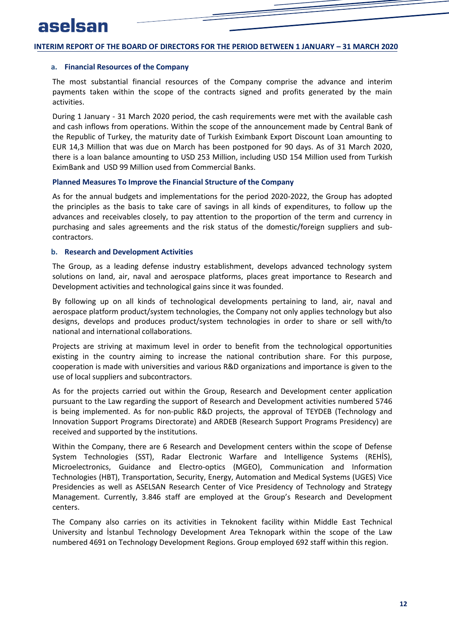#### <span id="page-13-0"></span>**a. Financial Resources of the Company**

The most substantial financial resources of the Company comprise the advance and interim payments taken within the scope of the contracts signed and profits generated by the main activities.

During 1 January - 31 March 2020 period, the cash requirements were met with the available cash and cash inflows from operations. Within the scope of the announcement made by Central Bank of the Republic of Turkey, the maturity date of Turkish Eximbank Export Discount Loan amounting to EUR 14,3 Million that was due on March has been postponed for 90 days. As of 31 March 2020, there is a loan balance amounting to USD 253 Million, including USD 154 Million used from Turkish EximBank and USD 99 Million used from Commercial Banks.

#### **Planned Measures To Improve the Financial Structure of the Company**

<span id="page-13-1"></span>As for the annual budgets and implementations for the period 2020-2022, the Group has adopted the principles as the basis to take care of savings in all kinds of expenditures, to follow up the advances and receivables closely, to pay attention to the proportion of the term and currency in purchasing and sales agreements and the risk status of the domestic/foreign suppliers and subcontractors.

#### **b. Research and Development Activities**

The Group, as a leading defense industry establishment, develops advanced technology system solutions on land, air, naval and aerospace platforms, places great importance to Research and Development activities and technological gains since it was founded.

By following up on all kinds of technological developments pertaining to land, air, naval and aerospace platform product/system technologies, the Company not only applies technology but also designs, develops and produces product/system technologies in order to share or sell with/to national and international collaborations.

Projects are striving at maximum level in order to benefit from the technological opportunities existing in the country aiming to increase the national contribution share. For this purpose, cooperation is made with universities and various R&D organizations and importance is given to the use of local suppliers and subcontractors.

As for the projects carried out within the Group, Research and Development center application pursuant to the Law regarding the support of Research and Development activities numbered 5746 is being implemented. As for non-public R&D projects, the approval of TEYDEB (Technology and Innovation Support Programs Directorate) and ARDEB (Research Support Programs Presidency) are received and supported by the institutions.

Within the Company, there are 6 Research and Development centers within the scope of Defense System Technologies (SST), Radar Electronic Warfare and Intelligence Systems (REHİS), Microelectronics, Guidance and Electro-optics (MGEO), Communication and Information Technologies (HBT), Transportation, Security, Energy, Automation and Medical Systems (UGES) Vice Presidencies as well as ASELSAN Research Center of Vice Presidency of Technology and Strategy Management. Currently, 3.846 staff are employed at the Group's Research and Development centers.

The Company also carries on its activities in Teknokent facility within Middle East Technical University and İstanbul Technology Development Area Teknopark within the scope of the Law numbered 4691 on Technology Development Regions. Group employed 692 staff within this region.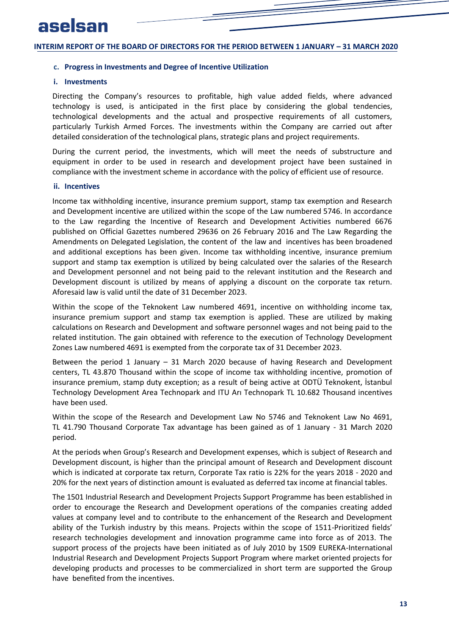#### <span id="page-14-1"></span><span id="page-14-0"></span>**c. Progress in Investments and Degree of Incentive Utilization**

#### **i. Investments**

Directing the Company's resources to profitable, high value added fields, where advanced technology is used, is anticipated in the first place by considering the global tendencies, technological developments and the actual and prospective requirements of all customers, particularly Turkish Armed Forces. The investments within the Company are carried out after detailed consideration of the technological plans, strategic plans and project requirements.

<span id="page-14-2"></span>During the current period, the investments, which will meet the needs of substructure and equipment in order to be used in research and development project have been sustained in compliance with the investment scheme in accordance with the policy of efficient use of resource.

#### **ii. Incentives**

Income tax withholding incentive, insurance premium support, stamp tax exemption and Research and Development incentive are utilized within the scope of the Law numbered 5746. In accordance to the Law regarding the Incentive of Research and Development Activities numbered 6676 published on Official Gazettes numbered 29636 on 26 February 2016 and The Law Regarding the Amendments on Delegated Legislation, the content of the law and incentives has been broadened and additional exceptions has been given. Income tax withholding incentive, insurance premium support and stamp tax exemption is utilized by being calculated over the salaries of the Research and Development personnel and not being paid to the relevant institution and the Research and Development discount is utilized by means of applying a discount on the corporate tax return. Aforesaid law is valid until the date of 31 December 2023.

Within the scope of the Teknokent Law numbered 4691, incentive on withholding income tax, insurance premium support and stamp tax exemption is applied. These are utilized by making calculations on Research and Development and software personnel wages and not being paid to the related institution. The gain obtained with reference to the execution of Technology Development Zones Law numbered 4691 is exempted from the corporate tax of 31 December 2023.

Between the period 1 January – 31 March 2020 because of having Research and Development centers, TL 43.870 Thousand within the scope of income tax withholding incentive, promotion of insurance premium, stamp duty exception; as a result of being active at ODTÜ Teknokent, İstanbul Technology Development Area Technopark and ITU Arı Technopark TL 10.682 Thousand incentives have been used.

Within the scope of the Research and Development Law No 5746 and Teknokent Law No 4691, TL 41.790 Thousand Corporate Tax advantage has been gained as of 1 January - 31 March 2020 period.

At the periods when Group's Research and Development expenses, which is subject of Research and Development discount, is higher than the principal amount of Research and Development discount which is indicated at corporate tax return, Corporate Tax ratio is 22% for the years 2018 - 2020 and 20% for the next years of distinction amount is evaluated as deferred tax income at financial tables.

The 1501 Industrial Research and Development Projects Support Programme has been established in order to encourage the Research and Development operations of the companies creating added values at company level and to contribute to the enhancement of the Research and Development ability of the Turkish industry by this means. Projects within the scope of 1511-Prioritized fields' research technologies development and innovation programme came into force as of 2013. The support process of the projects have been initiated as of July 2010 by 1509 EUREKA-International Industrial Research and Development Projects Support Program where market oriented projects for developing products and processes to be commercialized in short term are supported the Group have benefited from the incentives.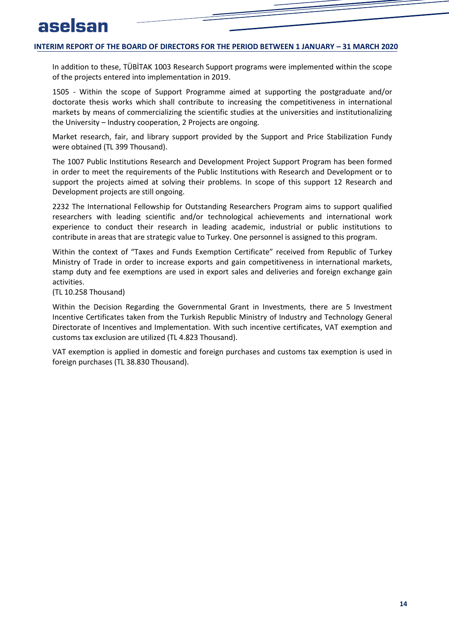In addition to these, TÜBİTAK 1003 Research Support programs were implemented within the scope of the projects entered into implementation in 2019.

1505 - Within the scope of Support Programme aimed at supporting the postgraduate and/or doctorate thesis works which shall contribute to increasing the competitiveness in international markets by means of commercializing the scientific studies at the universities and institutionalizing the University – Industry cooperation, 2 Projects are ongoing.

Market research, fair, and library support provided by the Support and Price Stabilization Fundy were obtained (TL 399 Thousand).

The 1007 Public Institutions Research and Development Project Support Program has been formed in order to meet the requirements of the Public Institutions with Research and Development or to support the projects aimed at solving their problems. In scope of this support 12 Research and Development projects are still ongoing.

2232 The International Fellowship for Outstanding Researchers Program aims to support qualified researchers with leading scientific and/or technological achievements and international work experience to conduct their research in leading academic, industrial or public institutions to contribute in areas that are strategic value to Turkey. One personnel is assigned to this program.

Within the context of "Taxes and Funds Exemption Certificate" received from Republic of Turkey Ministry of Trade in order to increase exports and gain competitiveness in international markets, stamp duty and fee exemptions are used in export sales and deliveries and foreign exchange gain activities.

(TL 10.258 Thousand)

Within the Decision Regarding the Governmental Grant in Investments, there are 5 Investment Incentive Certificates taken from the Turkish Republic Ministry of Industry and Technology General Directorate of Incentives and Implementation. With such incentive certificates, VAT exemption and customs tax exclusion are utilized (TL 4.823 Thousand).

VAT exemption is applied in domestic and foreign purchases and customs tax exemption is used in foreign purchases (TL 38.830 Thousand).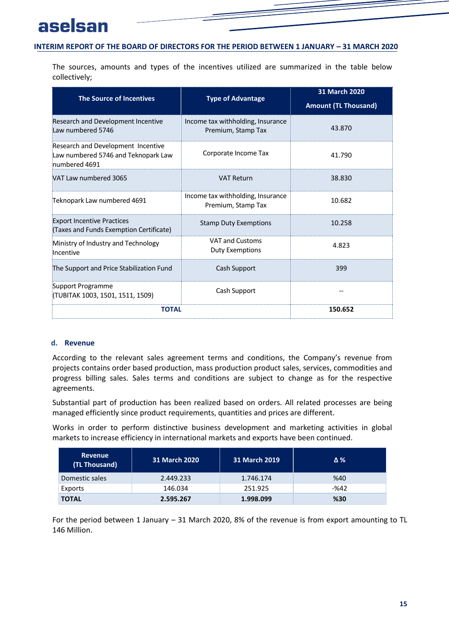The sources, amounts and types of the incentives utilized are summarized in the table below collectively;

| <b>The Source of Incentives</b>                                                            | <b>Type of Advantage</b>                                | 31 March 2020<br><b>Amount (TL Thousand)</b> |
|--------------------------------------------------------------------------------------------|---------------------------------------------------------|----------------------------------------------|
| Research and Development Incentive<br>Law numbered 5746                                    | Income tax withholding, Insurance<br>Premium, Stamp Tax | 43.870                                       |
| Research and Development Incentive<br>Law numbered 5746 and Teknopark Law<br>numbered 4691 | Corporate Income Tax                                    | 41.790                                       |
| VAT Law numbered 3065                                                                      | <b>VAT Return</b>                                       | 38.830                                       |
| Teknopark Law numbered 4691                                                                | Income tax withholding, Insurance<br>Premium, Stamp Tax | 10.682                                       |
| <b>Export Incentive Practices</b><br>(Taxes and Funds Exemption Certificate)               | <b>Stamp Duty Exemptions</b>                            | 10.258                                       |
| Ministry of Industry and Technology<br>Incentive                                           | <b>VAT and Customs</b><br><b>Duty Exemptions</b>        | 4.823                                        |
| The Support and Price Stabilization Fund                                                   | Cash Support                                            | 399                                          |
| Support Programme<br>(TUBITAK 1003, 1501, 1511, 1509)                                      | Cash Support                                            |                                              |
| <b>TOTAL</b>                                                                               |                                                         | 150.652                                      |

## <span id="page-16-0"></span>**d. Revenue**

According to the relevant sales agreement terms and conditions, the Company's revenue from projects contains order based production, mass production product sales, services, commodities and progress billing sales. Sales terms and conditions are subject to change as for the respective agreements.

Substantial part of production has been realized based on orders. All related processes are being managed efficiently since product requirements, quantities and prices are different.

Works in order to perform distinctive business development and marketing activities in global markets to increase efficiency in international markets and exports have been continued.

| <b>Revenue</b><br>(TL Thousand) | <b>31 March 2020</b> | <b>31 March 2019</b> | Δ%   |
|---------------------------------|----------------------|----------------------|------|
| Domestic sales                  | 2.449.233            | 1.746.174            | %40  |
| Exports                         | 146.034              | 251.925              | -%42 |
| <b>TOTAL</b>                    | 2.595.267            | 1.998.099            | %30  |

For the period between 1 January – 31 March 2020, 8% of the revenue is from export amounting to TL 146 Million.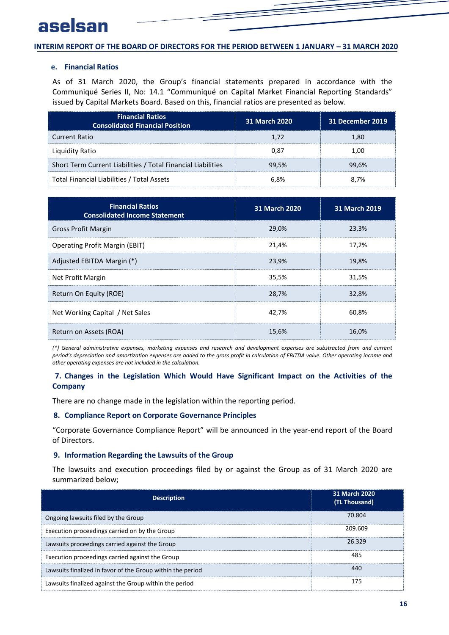#### <span id="page-17-0"></span>**e. Financial Ratios**

As of 31 March 2020, the Group's financial statements prepared in accordance with the Communiqué Series II, No: 14.1 "Communiqué on Capital Market Financial Reporting Standards" issued by Capital Markets Board. Based on this, financial ratios are presented as below.

| <b>Financial Ratios</b><br><b>Consolidated Financial Position</b> | 31 March 2020 | 31 December 2019 |
|-------------------------------------------------------------------|---------------|------------------|
| <b>Current Ratio</b>                                              | 1.72          | 1.80             |
| Liquidity Ratio                                                   | 0.87          | 1.00             |
| Short Term Current Liabilities / Total Financial Liabilities      | 99.5%         | 99.6%            |
| Total Financial Liabilities / Total Assets                        | 6.8%          | 8.7%             |

| <b>Financial Ratios</b><br><b>Consolidated Income Statement</b> | <b>31 March 2020</b> | <b>31 March 2019</b> |
|-----------------------------------------------------------------|----------------------|----------------------|
| <b>Gross Profit Margin</b>                                      | 29,0%                | 23,3%                |
| <b>Operating Profit Margin (EBIT)</b>                           | 21,4%                | 17,2%                |
| Adjusted EBITDA Margin (*)                                      | 23,9%                | 19,8%                |
| Net Profit Margin                                               | 35,5%                | 31,5%                |
| Return On Equity (ROE)                                          | 28,7%                | 32,8%                |
| Net Working Capital / Net Sales                                 | 42,7%                | 60,8%                |
| Return on Assets (ROA)                                          | 15,6%                | 16,0%                |

<span id="page-17-1"></span>*(\*) General administrative expenses, marketing expenses and research and development expenses are substracted from and current period's depreciation and amortization expenses are added to the gross profit in calculation of EBITDA value. Other operating income and other operating expenses are not included in the calculation.*

## <span id="page-17-2"></span>**7. Changes in the Legislation Which Would Have Significant Impact on the Activities of the Company**

There are no change made in the legislation within the reporting period.

#### <span id="page-17-3"></span>**8. Compliance Report on Corporate Governance Principles**

"Corporate Governance Compliance Report" will be announced in the year-end report of the Board of Directors.

#### **9. Information Regarding the Lawsuits of the Group**

The lawsuits and execution proceedings filed by or against the Group as of 31 March 2020 are summarized below;

| <b>Description</b>                                         | 31 March 2020<br>(TL Thousand) |
|------------------------------------------------------------|--------------------------------|
| Ongoing lawsuits filed by the Group                        | 70.804                         |
| Execution proceedings carried on by the Group              | 209.609                        |
| Lawsuits proceedings carried against the Group             | 26.329                         |
| Execution proceedings carried against the Group            | 485                            |
| Lawsuits finalized in favor of the Group within the period | 440                            |
| Lawsuits finalized against the Group within the period     | 175                            |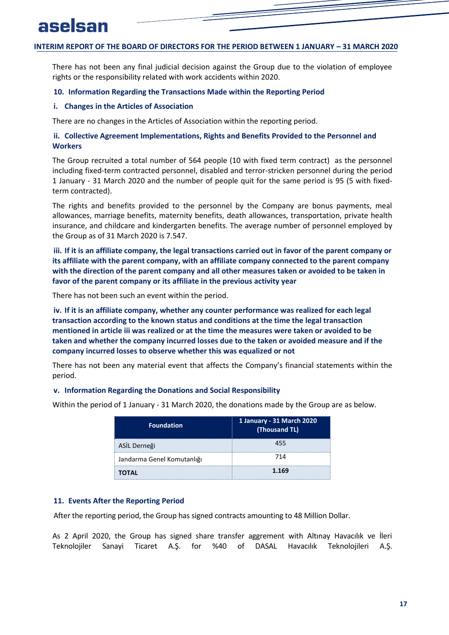<span id="page-18-1"></span><span id="page-18-0"></span>There has not been any final judicial decision against the Group due to the violation of employee rights or the responsibility related with work accidents within 2020.

#### <span id="page-18-2"></span>**10. Information Regarding the Transactions Made within the Reporting Period**

#### **i. Changes in the Articles of Association**

There are no changes in the Articles of Association within the reporting period.

#### **ii. Collective Agreement Implementations, Rights and Benefits Provided to the Personnel and Workers**

The Group recruited a total number of 564 people (10 with fixed term contract) as the personnel including fixed-term contracted personnel, disabled and terror-stricken personnel during the period 1 January - 31 March 2020 and the number of people quit for the same period is 95 (5 with fixedterm contracted).

<span id="page-18-3"></span>The rights and benefits provided to the personnel by the Company are bonus payments, meal allowances, marriage benefits, maternity benefits, death allowances, transportation, private health insurance, and childcare and kindergarten benefits. The average number of personnel employed by the Group as of 31 March 2020 is 7.547.

<span id="page-18-4"></span>**iii. If it is an affiliate company, the legal transactions carried out in favor of the parent company or its affiliate with the parent company, with an affiliate company connected to the parent company with the direction of the parent company and all other measures taken or avoided to be taken in favor of the parent company or its affiliate in the previous activity year**

There has not been such an event within the period.

**iv. If it is an affiliate company, whether any counter performance was realized for each legal transaction according to the known status and conditions at the time the legal transaction mentioned in article iii was realized or at the time the measures were taken or avoided to be taken and whether the company incurred losses due to the taken or avoided measure and if the company incurred losses to observe whether this was equalized or not**

<span id="page-18-5"></span>There has not been any material event that affects the Company's financial statements within the period.

#### **v. Information Regarding the Donations and Social Responsibility**

Within the period of 1 January - 31 March 2020, the donations made by the Group are as below.

| <b>Foundation</b>          | 1 January - 31 March 2020<br>(Thousand TL) |  |
|----------------------------|--------------------------------------------|--|
| ASİL Derneği               | 455                                        |  |
| Jandarma Genel Komutanlığı | 714                                        |  |
| TOTAL                      | 1.169                                      |  |

#### <span id="page-18-6"></span>**11. Events After the Reporting Period**

After the reporting period, the Group has signed contracts amounting to 48 Million Dollar.

As 2 April 2020, the Group has signed share transfer aggrement with Altınay Havacılık ve İleri Teknolojiler Sanayi Ticaret A.Ş. for %40 of DASAL Havacılık Teknolojileri A.Ş.